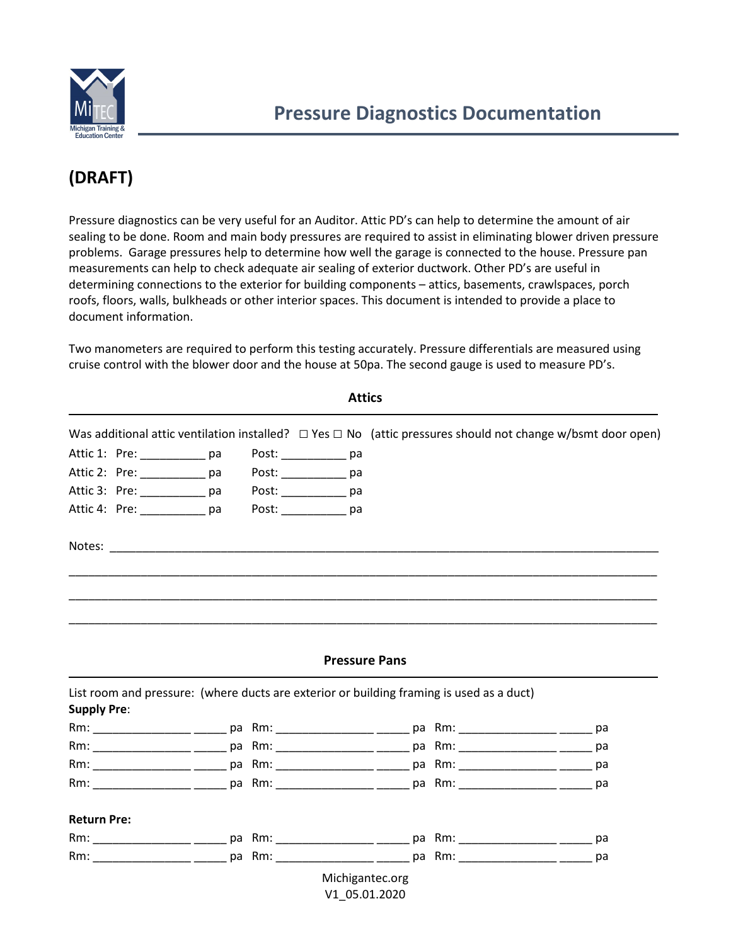

## **(DRAFT)**

Pressure diagnostics can be very useful for an Auditor. Attic PD's can help to determine the amount of air sealing to be done. Room and main body pressures are required to assist in eliminating blower driven pressure problems. Garage pressures help to determine how well the garage is connected to the house. Pressure pan measurements can help to check adequate air sealing of exterior ductwork. Other PD's are useful in determining connections to the exterior for building components – attics, basements, crawlspaces, porch roofs, floors, walls, bulkheads or other interior spaces. This document is intended to provide a place to document information.

Two manometers are required to perform this testing accurately. Pressure differentials are measured using cruise control with the blower door and the house at 50pa. The second gauge is used to measure PD's.

**Attics**

|                    |                                |                                                                                                            |                                  |  | Was additional attic ventilation installed? $\Box$ Yes $\Box$ No (attic pressures should not change w/bsmt door open) |
|--------------------|--------------------------------|------------------------------------------------------------------------------------------------------------|----------------------------------|--|-----------------------------------------------------------------------------------------------------------------------|
|                    |                                | Attic 1: Pre: ____________ pa                                                                              | Post: $\_\_\_\_\_\_\_\_$ pa      |  |                                                                                                                       |
|                    | Attic 2: Pre: _____________ pa |                                                                                                            | Post: ______________ pa          |  |                                                                                                                       |
|                    | Attic 3: Pre: ____________ pa  |                                                                                                            | Post: _____________ pa           |  |                                                                                                                       |
|                    | Attic 4: Pre: ____________ pa  |                                                                                                            | Post: _______________pa          |  |                                                                                                                       |
|                    |                                |                                                                                                            |                                  |  |                                                                                                                       |
|                    |                                |                                                                                                            | <b>Pressure Pans</b>             |  |                                                                                                                       |
| <b>Supply Pre:</b> |                                | List room and pressure: (where ducts are exterior or building framing is used as a duct)                   |                                  |  |                                                                                                                       |
|                    |                                | Rm: ___________________________pa Rm: ___________________________pa Rm: ________________________________pa |                                  |  |                                                                                                                       |
|                    |                                | Rm: __________________________pa Rm: __________________________pa Rm: ______________________________pa     |                                  |  |                                                                                                                       |
|                    |                                | Rm: __________________ ______ pa Rm: __________________________ pa Rm: ___________________________ pa      |                                  |  |                                                                                                                       |
|                    |                                |                                                                                                            |                                  |  |                                                                                                                       |
| <b>Return Pre:</b> |                                |                                                                                                            |                                  |  |                                                                                                                       |
|                    |                                | Rm: ___________________________pa Rm: ___________________________pa Rm: ________________________________pa |                                  |  |                                                                                                                       |
|                    |                                |                                                                                                            |                                  |  |                                                                                                                       |
|                    |                                |                                                                                                            | Michigantec.org<br>V1 05.01.2020 |  |                                                                                                                       |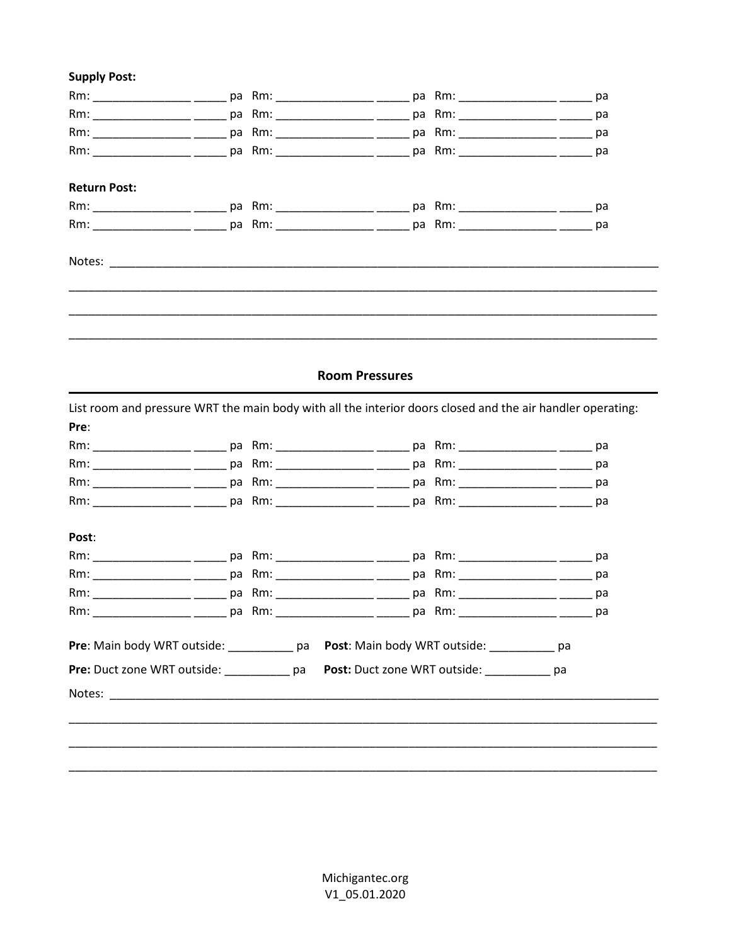## **Supply Post:**

| Rm: _________________ _______ pa Rm: _________________________ pa Rm: ____________________________ pa        |  |  |
|--------------------------------------------------------------------------------------------------------------|--|--|
| Rm: ____________________________pa Rm: ___________________________pa Rm: ________________________________pa  |  |  |
| Rm: ____________________________pa Rm: ___________________________pa Rm: _________________________________pa |  |  |
| Rm: ____________________________pa Rm: ___________________________pa Rm: _________________________________pa |  |  |
| <b>Return Post:</b>                                                                                          |  |  |
| Rm: ____________________________pa Rm: ___________________________pa Rm: _________________________________pa |  |  |
|                                                                                                              |  |  |
|                                                                                                              |  |  |
|                                                                                                              |  |  |
|                                                                                                              |  |  |

## **Room Pressures**

| List room and pressure WRT the main body with all the interior doors closed and the air handler operating:   |  |  |
|--------------------------------------------------------------------------------------------------------------|--|--|
| Pre:                                                                                                         |  |  |
| Rm: _________________ ______ pa Rm: ________________________ pa Rm: __________________________ pa            |  |  |
| Rm: ____________________________pa Rm: ___________________________pa Rm: _________________________________pa |  |  |
| Rm: ____________________________pa Rm: ___________________________pa Rm: ________________________________pa  |  |  |
| Rm: _________________ ______ pa Rm: _______________________ pa Rm: _________________________ pa              |  |  |
| Post:                                                                                                        |  |  |
| Rm: __________________ ______ pa   Rm: _________________________ pa   Rm: __________________________ pa      |  |  |
| Rm: ____________________________pa Rm: ___________________________pa Rm: _________________________________pa |  |  |
|                                                                                                              |  |  |
|                                                                                                              |  |  |
| Pre: Main body WRT outside: ____________ pa Post: Main body WRT outside: ___________ pa                      |  |  |
| <b>Pre:</b> Duct zone WRT outside: _____________ pa <b>Post:</b> Duct zone WRT outside: _____________ pa     |  |  |
|                                                                                                              |  |  |
|                                                                                                              |  |  |
|                                                                                                              |  |  |

Michigantec.org V1\_05.01.2020